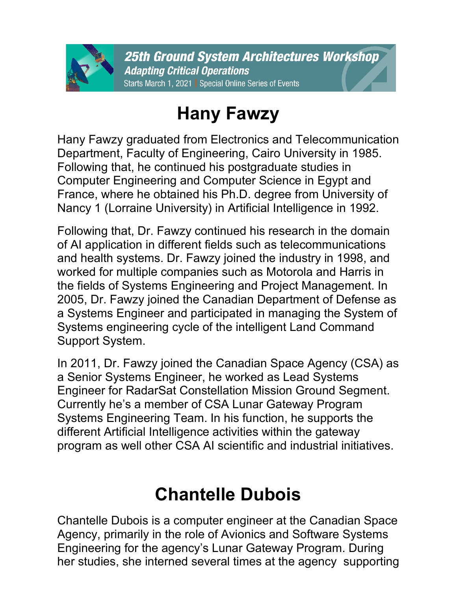

## **Hany Fawzy**

Hany Fawzy graduated from Electronics and Telecommunication Department, Faculty of Engineering, Cairo University in 1985. Following that, he continued his postgraduate studies in Computer Engineering and Computer Science in Egypt and France, where he obtained his Ph.D. degree from University of Nancy 1 (Lorraine University) in Artificial Intelligence in 1992.

Following that, Dr. Fawzy continued his research in the domain of AI application in different fields such as telecommunications and health systems. Dr. Fawzy joined the industry in 1998, and worked for multiple companies such as Motorola and Harris in the fields of Systems Engineering and Project Management. In 2005, Dr. Fawzy joined the Canadian Department of Defense as a Systems Engineer and participated in managing the System of Systems engineering cycle of the intelligent Land Command Support System.

In 2011, Dr. Fawzy joined the Canadian Space Agency (CSA) as a Senior Systems Engineer, he worked as Lead Systems Engineer for RadarSat Constellation Mission Ground Segment. Currently he's a member of CSA Lunar Gateway Program Systems Engineering Team. In his function, he supports the different Artificial Intelligence activities within the gateway program as well other CSA AI scientific and industrial initiatives.

## **Chantelle Dubois**

Chantelle Dubois is a computer engineer at the Canadian Space Agency, primarily in the role of Avionics and Software Systems Engineering for the agency's Lunar Gateway Program. During her studies, she interned several times at the agency supporting